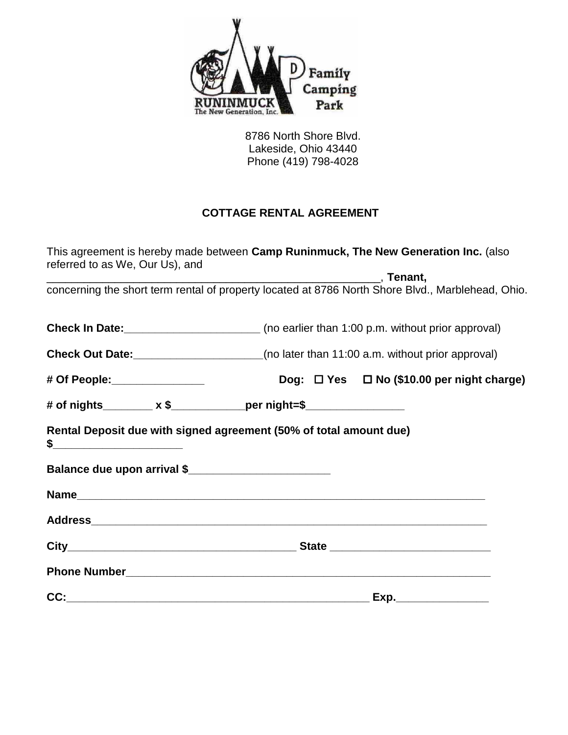

 8786 North Shore Blvd. Lakeside, Ohio 43440 Phone (419) 798-4028

## **COTTAGE RENTAL AGREEMENT**

| This agreement is hereby made between Camp Runinmuck, The New Generation Inc. (also<br>referred to as We, Our Us), and |                                                |                                                      |
|------------------------------------------------------------------------------------------------------------------------|------------------------------------------------|------------------------------------------------------|
|                                                                                                                        | <u>___________________________</u> __, Tenant, |                                                      |
| concerning the short term rental of property located at 8786 North Shore Blvd., Marblehead, Ohio.                      |                                                |                                                      |
| <b>Check In Date:</b> _____________________________(no earlier than 1:00 p.m. without prior approval)                  |                                                |                                                      |
| <b>Check Out Date:</b> ______________________(no later than 11:00 a.m. without prior approval)                         |                                                |                                                      |
| # Of People:________________                                                                                           |                                                | Dog: $\Box$ Yes $\Box$ No (\$10.00 per night charge) |
| # of nights________ x \$_____________per night=\$_________________                                                     |                                                |                                                      |
| Rental Deposit due with signed agreement (50% of total amount due)                                                     |                                                |                                                      |
|                                                                                                                        |                                                |                                                      |
|                                                                                                                        |                                                |                                                      |
|                                                                                                                        |                                                |                                                      |
|                                                                                                                        |                                                |                                                      |
|                                                                                                                        |                                                |                                                      |
|                                                                                                                        |                                                |                                                      |